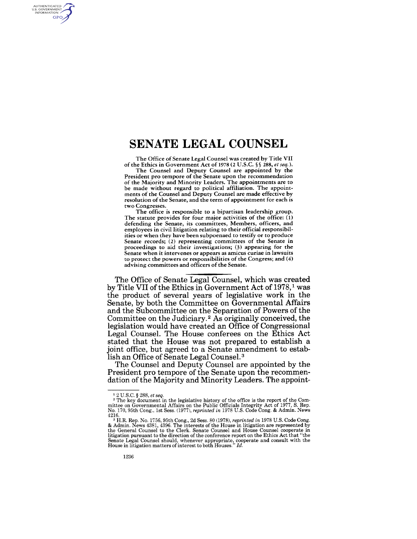# **SENATE LEGAL COUNSEL**

The Office of Senate Legal Counsel was created by Title VII of the Ethics in Government Act of 1978 (2 U.S.c. § § 288, *et seq.).* 

The Counsel and Deputy Counsel are appointed by the President pro tempore of the Senate upon the recommendation of the Majority and Minority Leaders. The appointments are to be made without regard to political affiliation. The appointments of the Counsel and Deputy Counsel are made effective by resolution of the Senate, and the term of appointment for each is two Congresses.

The office is responsible to a bipartisan leadership group. The statute provides for four major activities of the office: (1) defending the Senate, its committees, Members, officers, and employees in civil litigation relating to their official responsibilities or when they have been subpoenaed to testify or to produce Senate records; (2) representing committees of the Senate in proceedings to aid their investigations; (3) appearing for the Senate when it intervenes or appears as amicus curiae in lawsuits to protect the powers or responsibilities of the Congress; and (4) advising committees and officers of the Senate.

The Office of Senate Legal Counsel, which was created by Title VII of the Ethics in Government Act of 1978,<sup>1</sup> was the product of several years of legislative work in the Senate, by both the Committee on Governmental Affairs and the Subcommittee on the Separation of Powers of the Committee on the Judiciary. 2 As originally conceived, the legislation would have created an Office of Congressional Legal Counsel. The House conferees on the Ethics Act stated that the House was not prepared to establish a joint office, but agreed to a Senate amendment to establish an Office of Senate Legal Counsel. 3

The Counsel and Deputy Counsel are appointed by the President pro tempore of the Senate upon the recommendation of the Majority and Minority Leaders. The appoint-

AUTHENTICATED<br>U.S. GOVERNMENT<br>INFORMATION **GPO** 

<sup>1</sup> 2 U.S.C. § 288, *et seq.* 

<sup>&</sup>lt;sup>2</sup> The key document in the legislative history of the office is the report of the Committee on Governmental Affairs on the Public Officials Integrity Act of 1977, S. Rep. No. 170, 95th Cong., 1st Sess. (1977), *reprinted* 4216. 3 H.R. Rep. No. 1756, 95th Cong., 2d Sess. 80 (1978), *reprinted in* 1978 U.S. Code Congo

<sup>&</sup>amp; Admin. News 4381, 4396. The interests of the House in litigation are represented by<br>the General Counsel to the Clerk. Senate Counsel and House Counsel cooperate in<br>litigation pursuant to the direction of the conference r Senate Legal Counsel should, whenever appropriate, cooperate and consult with the House in litigation matters of interest to both Houses." *Id.*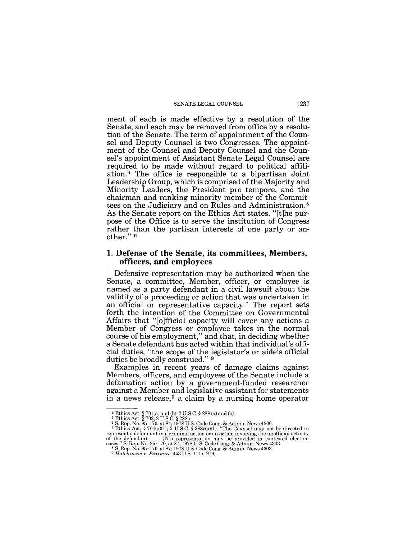#### SENATE LEGAL COUNSEL 1237

ment of each is made effective by a resolution of the Senate, and each may be removed from office by a resolution of the Senate. The term of appointment of the Counsel and Deputy Counsel is two Congresses. The appointment of the Counsel and Deputy Counsel and the Counsel's appointment of Assistant Senate Legal Counsel are required to be made without regard to political affiliation. 4 The office is responsible to a bipartisan Joint Leadership Group, which is comprised of the Majority and Minority Leaders, the President pro tempore, and the chairman and ranking minority member of the Committees on the Judiciary and on Rules and Administration. 5 As the Senate report on the Ethics Act states, "[t]he purpose of the Office is to serve the institution of Congress rather than the partisan interests of one party or another." 6

## **1. Defense of the Senate, its committees, Members, officers, and employees**

Defensive representation may be authorized when the Senate, a committee, Member, officer, or employee is named as a party defendant in a civil lawsuit about the validity of a proceeding or action that was undertaken in an official or representative capacity.7 The report sets forth the intention of the Committee on Governmental Affairs that "[o]fficial capacity will cover any actions a Member of Congress or employee takes in the normal course of his employment," and that, in deciding whether a Senate defendant has acted within that individual's official duties, "the scope of the legislator's or aide's official duties be broadly construed." 8

Examples in recent years of damage claims against Members, officers, and employees of the Senate include a defamation action by a government-funded researcher against a Member and legislative assistant for statements in a news release,  $9$  a claim by a nursing home operator

<sup>&</sup>lt;sup>4</sup> Ethics Act, § 701(a) and (b); 2 U.S.C. § 288 (a) and (b).<br><sup>5</sup> Ethics Act, § 702; 2 U.S.C. § 288a.<br><sup>6</sup> S. Rep. No. 95-170, at 84; 1978 U.S. Code Cong. & Admin. News 4300.<br><sup>6</sup> S. Rep. No. 95-170, at 84; 1978 U.S.C. § 28 cases." S. Rep. No. 95-170, at 87, 1978 U.S. Code Cong. & Admin. News 4303.<br><sup>8</sup> S. Rep. No. 95-170, at 87; 1978 U.S. Code Cong. & Admin. News 4303.<br><sup>9</sup> *Hutchinson v. Proxmire,* 443 U.S. 111 (1979).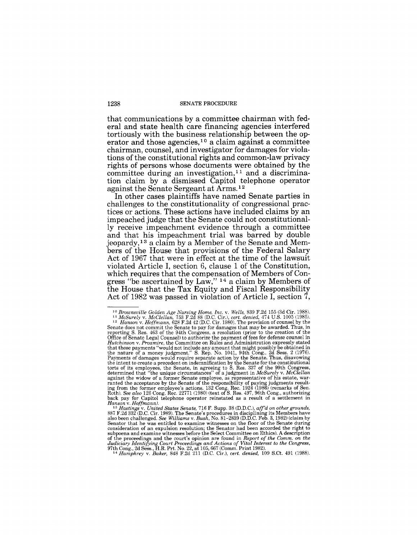that communications by a committee chairman with federal and state health care financing agencies interfered tortiously with the business relationship between the operator and those agencies,  $10$  a claim against a committee chairman, counsel, and investigator for damages for violations of the constitutional rights and common-law privacy rights of persons whose documents were obtained by the committee during an investigation,<sup>11</sup> and a discrimination claim by a dismissed Capitol telephone operator against the Senate Sergeant at Arms. <sup>12</sup>

In other cases plaintiffs have named Senate parties in challenges to the constitutionality of congressional practices or actions. These actions have included claims by an impeached judge that the Senate could not constitutionally receive impeachment evidence through a committee and that his impeachment trial was barred by double jeopardy, 13 a claim by a Member of the Senate and Members of the House that provisions of the Federal Salary Act of 1967 that were in effect at the time of the lawsuit violated Article I, section 6, clause 1 of the Constitution, which requires that the compensation of Members of Congress "be ascertained by Law," <sup>14</sup> a claim by Members of the House that the Tax Equity and Fiscal Responsibility Act of 1982 was passed in violation of Article I, section 7,

<sup>&</sup>lt;sup>10</sup> Brownsville Golden Age Nursing Home, Inc. v. Wells, 839 F.2d 155 (3d Cir. 1988).<br><sup>11</sup> McSurely v. McClellan, 753 F.2d 88 (D.C. Cir.), cert. denied, 474 U.S. 1005 (1985).<br><sup>12</sup> Hanson v. Hoffmann, 628 F.2d 42 (D.C. Cir Senate does not commit the Senate to pay for damages that may be awarded. Thus, in reporting S. Res. 463 of the 94th Congress, a resolution (prior to the creation of the Office of Senate Legal Counsel) to authorize the payment of fees for defense counsel in Hutchinson v. Proxmire, the Committee on Rules and Administration expressly stated<br>that those payments "would not include any amount that might possibly be obtained in<br>the nature of a money judgment." S. Rep. No. 1041, 94t the intent to create a precedent on indemnification by the Senate for the constitutional torts of its employees, the Senate, in agreeing to S. Res. 337 of the 99th Congress, determined that "the unique circumstances" of a against the widow of a former Senate employee, as representative of his estate, warranted the acceptance by the Senate of the responsibility of paying judgments resulting from the former employee's actions. 132 Cong. Rec. back pay for Capitol telephone operator reinstated as a result of a settlement in *Hanson* V. *Hoffmann). 13 Hastings* V. *United States Senate,* 716 F. Supp. 38 (D.D.C.), *aff'd on other grounds,* 

<sup>887</sup> F.2d 332 (D.C. Cir. 1989). The Senate's procedures in disciplining its Members have also been challenged. *See Williams* V. *Bush,* No. 81-2839 (D.D.C. Feb. 3, 1982) (claim by Senator that he was entitled to examine witnesses on the floor of the Senate during<br>consideration of an expulsion resolution; the Senator had been accorded the right to<br>subpoena and examine witnesses before the Select Comm of the proceedings and the court's opinion are found in *Report of the Comm.* on the Judiciary Identifying Court Proceedings and Actions of Vital Interest to the Congress, 97th Cong, 2d Sess., H.R. Prt. No. 22, at 105, 66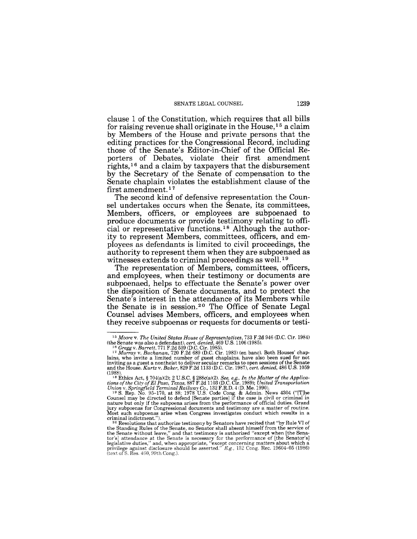clause 1 of the Constitution, which requires that all bills for raising revenue shall originate in the House,  $15$  a claim by Members of the House and private persons that the editing practices for the Congressional Record, including those of the Senate's Editor-in-Chief of the Official Reporters of Debates, violate their first amendment rights,16 and a claim by taxpayers that the disbursement by the Secretary of the Senate of compensation to the Senate chaplain violates the establishment clause of the first amendment.<sup>17</sup>

The second kind of defensive representation the Counsel undertakes occurs when the Senate, its committees, Members, officers, or employees are subpoenaed to produce documents or provide testimony relating to official or representative functions. 18 Although the authority to represent Members, committees, officers, and employees as defendants is limited to civil proceedings, the authority to represent them when they are subpoenaed as witnesses extends to criminal proceedings as well.<sup>19</sup>

The representation of Members, committees, officers, and employees, when their testimony or documents are subpoenaed, helps to effectuate the Senate's power over the disposition of Senate documents, and to protect the Senate's interest in the attendance of its Members while the Senate is in session. 20 The Office of Senate Legal Counsel advises Members, officers, and employees when they receive subpoenas or requests for documents or testi-

<sup>15</sup>*Moore* v. *The United States House of Representatives,* 733 F.2d 946 (D.C. Cir. 1984)

<sup>(</sup>the Senate was also a defendant), *cert. denied*, 469 U.S. 1106 (1985).<br><sup>16</sup> Gregg v. Barrett, 771 F.2d 539 (D.C. Cir. 1985).<br><sup>17</sup> Murray v. Buchanan, 720 F.2d 689 (D.C. Cir. 1983) (en banc). Both Houses' chap-<br>lains, wh

<sup>(1988). 18</sup> Ethics Act, § 704(a)(2); 2 U.S.C. § 288c(a)(2). *See, e.g., In the Matter of the Applica-tions of the City of El Paso, Texas,* 887 F.2d 1103 (D.C. Cir. 1989); *United Transportation* 

Union v. Springfield Terminal Railway Co., 132 F.R.D. 4 (D. Me. 1990).<br><sup>19</sup> S. Rep. No. 95-170, at 88; 1978 U.S. Code Cong. & Admin. News 4304 ("[T]he Counsel may be directed to defend [Senate parties] if the case is civi nature but only if the subpoena arises from the performance of official duties. Grand jury subpoenas for Congressional documents and testimony are a matter of routine. Most such subpoenas arise when Congress investigates conduct which results in a criminal indictment."). <sup>20</sup> Resolutions that authorize testimony by Senators have recited that "by Rule VI of

the Standing Rules of the Senate, no Senator shall absent himself from the service of the Senate without leave," and that testimony is authorized "except when (the Senator's] attendance at the Senate is necessary for the performance of [the Senator's] legislative duties," and, when appropriate, "except concerning matters about which a privilege against disclosure should be asserted."  $E$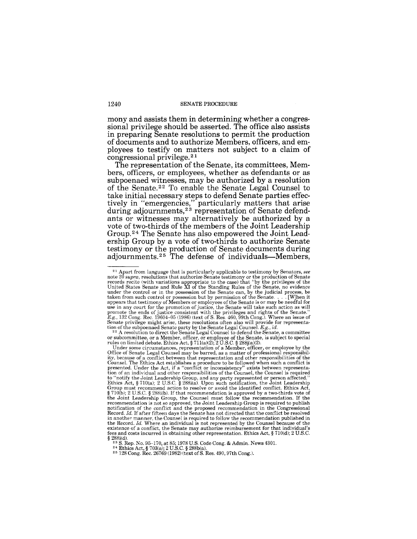mony and assists them in determining whether a congressional privilege should be asserted. The office also assists in preparing Senate resolutions to permit the production of documents and to authorize Members, officers, and employees to testify on matters not subject to a claim of congressional privilege. 2 1

The representation of the Senate, its committees, Members, officers, or employees, whether as defendants or as subpoenaed witnesses, may be authorized by a resolution of the Senate. 22 To enable the Senate Legal Counsel to take initial necessary steps to defend Senate parties effectively in "emergencies," particularly matters that arise during adjournments,<sup>23</sup> representation of Senate defendants or witnesses may alternatively be authorized by a vote of two-thirds of the members of the Joint Leadership Group.24 The Senate has also empowered the Joint Leadership Group by a vote of two-thirds to authorize Senate testimony or the production of Senate documents during adjournments.<sup>25</sup> The defense of individuals-Members,

<sup>&</sup>lt;sup>21</sup> Apart from language that is particularly applicable to testimony by Senators, *see* note 20 *supra*, resolutions that authorize Senate testimony or the production of Senate records recite (with variations appropriate under the control or in the possession of the Senate can, by the judicial process, be under the control or in the possession of the Senate can, by the judicial process, be taken from such control or possession but by permission of the Senate  $\dots$  [W]hen it appears that testimony of Members or employees of the Senate is or may be needful for use in any court for the promotion of justice, the Senate will take such action as will promote the ends of justice consistent with the privileges and rights of the Senate."<br>*E.g.*, 132 Cong. Rec. 19604-05 (1986) (text of S. Res. 460, 99th Cong.). Where an issue of Senate privilege might arise, these resolutions often also will provide for representation of the subpoenaed Senate party by the Senate Legal Counsel.  $E, g, id$ .<br><sup>22</sup> A resolution to direct the Senate Legal Counsel to defen

or subcommittee, or a Member, officer, or employee of the Senate, is subject to special rules on limited debate. Ethics Act, § 711(a)(2); 2 U.S.C. § 288j(a)(2).

Under some circumstances, representation of a Member, officer, or employee by the Office of Senate Legal Counsel may be barred, as a matter of professional responsibil-ity, because of a conflict between that representation and other responsibilities of the Counsel. The Ethics Act establishes a procedure to be followed when such a conflict is presented. Under the Act, if a "conflict or inconsistency" exists between representation of an individual and other responsibilities of the Counsel, the Counsel is required to "notify the Joint Leadership Group, and any party represented or person affected."<br>Ethics Act, § 710(a); 2 U.S.C. § 288i(a). Upon such notification, the Joint Leadership<br>Group must recommend action to resolve or avoid t the Joint Leadership Group, the Counsel must follow the recommendation. If the recommendation is not so approved, the Joint Leadership Group is required to publish notification of the conflict and the proposed recommendati Record. *Id.* If after fifteen days the Senate has not directed that the conflict be resolved in another manner, the Counsel is required to follow the recommendation published in the Record. *Id.* Where an individual is not represented by the Counsel because of the existence of a conflict, the Senate may authorize reimbursement for that individual's fees and costs incurred in obtaining other representation. Ethics Act, § 710(d); 2 U.S.C. § 288i(d).

<sup>&</sup>lt;sup>23</sup> S. Rep. No. 95–170, at 85; 1978 U.S. Code Cong. & Admin. News 4301.<br><sup>24</sup> Ethics Act, § 703(a); 2 U.S.C. § 288b(a).<br><sup>25</sup> 128 Cong. Rec. 26769 (1982) (text of S. Res. 490, 97th Cong.).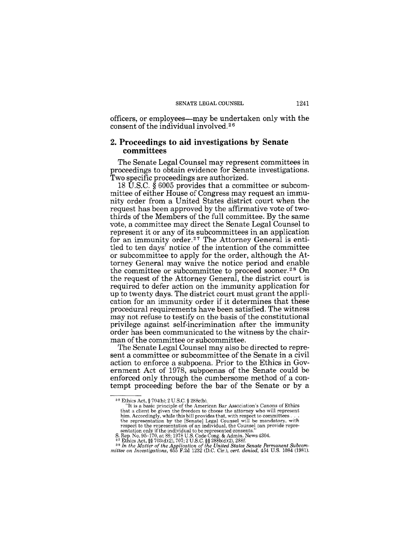officers, or employees-may be undertaken only with the consent of the individual involved. 26

# 2. Proceedings to aid investigations by Senate committees

The Senate Legal Counsel may represent committees in proceedings to obtain evidence for Senate investigations. Two specific proceedings are authorized.

18 U.S.C. § 6005 provides that a committee or subcommittee of either House of Congress may request an immunity order from a United States district court when the request has been approved by the affirmative vote of twothirds of the Members of the full committee. By the same vote, a committee may direct the Senate Legal Counsel to represent it or any of its subcommittees in an application for an immunity order.27 The Attorney General is entitled to ten days' notice of the intention of the committee or subcommittee to apply for the order, although the Attorney General may waive the notice period and enable the committee or subcommittee to proceed sooner.28 On the request of the Attorney General, the district court is required to defer action on the immunity application for up to twenty days. The district court must grant the application for an immunity order if it determines that these procedural requirements have been satisfied. The witness may not refuse to testify on the basis of the constitutional privilege against self-incrimination after the immunity order has been communicated to the witness by the chairman of the committee or subcommittee.

The Senate Legal Counsel may also be directed to represent a committee or subcommittee of the Senate in a civil action to enforce a subpoena. Prior to the Ethics in Government Act of 1978, subpoenas of the Senate could be enforced only through the cumbersome method of a contempt proceeding before the bar of the Senate or by a

<sup>&</sup>lt;sup>26</sup> Ethics Act, § 704(b); 2 U.S.C. § 288c(b).<br>
"It is a basic principle of the American Bar Association's Canons of Ethics that a client be given the freedom to choose the attorney who will represent him. Accordingly, while this bill provides that, with respect to committees  $\dots$  the representation by the [Senate] Legal Counsel will be mandat

sentation only if the individual to be represented consents."<br>
S. Rep. No. 95-170, at 88; 1978 U.S. Code Cong. & Admin. News 4304.<br>
<sup>27</sup> Ethics Act, §§ 703(4)(2), 707; 2 U.S.C. §§ 288b(4)(2), 288f.<br>
<sup>28</sup> In the Matter of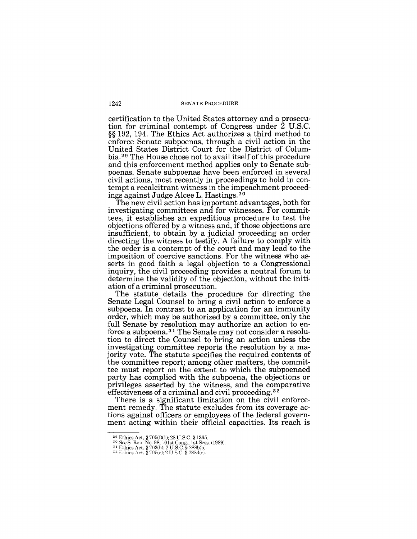certification to the United States attorney and a prosecution for criminal contempt of Congress under 2 U.S.C. §§ 192, 194. The Ethics Act authorizes a third method to enforce Senate subpoenas, through a civil action in the United States District Court for the District of Columbia.<sup>29</sup> The House chose not to avail itself of this procedure and this enforcement method applies only to Senate subpoenas. Senate subpoenas have been enforced in several civil actions, most recently in proceedings to hold in contempt a recalcitrant witness in the impeachment proceedings against Judge Alcee L. Hastings. <sup>30</sup>

The new civil action has important advantages, both for investigating committees and for witnesses. For committees, it establishes an expeditious procedure to test the objections offered by a witness and, if those objections are insufficient, to obtain by a judicial proceeding an order directing the witness to testify. A failure to comply with the order is a contempt of the court and may lead to the imposition of coercive sanctions. For the witness who asserts in good faith a legal objection to a Congressional inquiry, the civil proceeding provides a neutral forum to determine the validity of the objection, without the initiation of a criminal prosecution.

The statute details the procedure for directing the Senate Legal Counsel to bring a civil action to enforce a subpoena. In contrast to an application for an immunity order, which may be authorized by a committee, only the full Senate by resolution may authorize an action to enforce a subpoena. 31 The Senate may not consider a resolution to direct the Counsel to bring an action unless the investigating committee reports the resolution by a majority vote. The statute specifies the required contents of the committee report; among other matters, the committee must report on the extent to which the subpoenaed party has complied with the subpoena, the objections or privileges asserted by the witness, and the comparative effectiveness of a criminal and civil proceeding.<sup>32</sup>

There is a significant limitation on the civil enforcement remedy. The statute excludes from its coverage actions against officers or employees of the federal government acting within their official capacities. Its reach is

<sup>&</sup>lt;sup>29</sup> Ethics Act, § 705(f)(1); 28 U.S.C. § 1365.<br><sup>30</sup> See S. Rep. No. 98, 101st Cong., 1st Sess. (1989).<br><sup>31</sup> Ethics Act, § 703(b); 2 U.S.C. § 288b(b).<br><sup>32</sup> Ethics Act, § 705(c); 2 U.S.C. § 288d(c).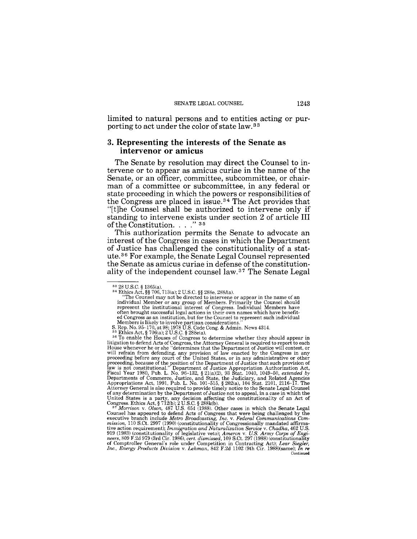limited to natural persons and to entities acting or purporting to act under the color of state law.<sup>33</sup>

# **3. Representing the interests of the Senate as intervenor or amicus**

The Senate by resolution may direct the Counsel to intervene or to appear as amicus curiae in the name of the Senate, or an officer, committee, subcommittee, or chairman of a committee or subcommittee, in any federal or state proceeding in which the powers or responsibilities of the Congress are placed in issue. 34 The Act provides that "[t]he Counsel shall be authorized to intervene only if standing to intervene exists under section 2 of article **III**  of the Constitution. . . . " 35

This authorization permits the Senate to advocate an interest of the Congress in cases in which the Department of Justice has challenged the constitutionality of a statute. 36 For example, the Senate Legal Counsel represented the Senate as amicus curiae in defense of the constitutionality of the independent counsel law. 37 The Senate Legal

Counsel has appeared to defend Acts of Congress that were being challenged by the executive branch include Metro Broadcasting, Inc. v. Federal Communications Commission, 110 S.Ct. 2997 (1990) (constitutionality of Congressionally mandated affirmative action requirement); Immigration and Naturalization of Comptroller General's role under Competition in Contracting Act); *Lear Siegler, Inc., Energy Products Division* V. *Lehman,* 842 F.2d 1102 (9th Cir. 1988)(same); *In re* **Continued** 

<sup>&</sup>lt;sup>33</sup> 28 U.S.C. § 1365(a).<br><sup>34</sup> Ethics Act, §§ 706, 713(a); 2 U.S.C. §§ 288e, 288*l*(a).

<sup>&</sup>quot;The Counsel may not be directed to intervene or appear in the name of an individual Member or any group of Members. Primarily the Counsel should represent the institutional interest of Congress. Individual Members have often brought successful legal actions in their own names which have benefited Congress as an institution, but for the Counsel to represent such individual

Members is likely to involve partisan considerations."<br>S. Rep. No. 95-170, at 98; 1978 U.S. Code Cong. & Admin. News 4314.<br><sup>35</sup> Ethics Act, § 706(a); 2 U.S.C. § 288e(a).

<sup>&</sup>lt;sup>36</sup> To enable the Houses of Congress to determine whether they should appear in litigation to defend Acts of Congress, the Attorney General is required to report to each<br>House whenever he or she "determines that the Department of Justice will contest, or<br>will refrain from defending, any provision of l will refrain from defending, any provision of law enacted by the Congress in any proceeding before any court of the United States, or in any administrative or other proceeding, because of the position of the Department of Justice that such provision of law is not constitutional." Department of Justice Appropriation Authorization Act, Fiscal Year 1980, Pub. L. No. 96-132, § 21(a)(2), of any determination by the Department of Justice not to appeal, in a case in which the United States is a party, any decision affecting the constitutionality of an Act of Congress. Ethics Act, § 712(b); 2 U.S.C. § 288k(b).<br><sup>37</sup> *Morrison* v. *Olson*, 487 U.S. 654 (1988). Other cases in which the Senate Lega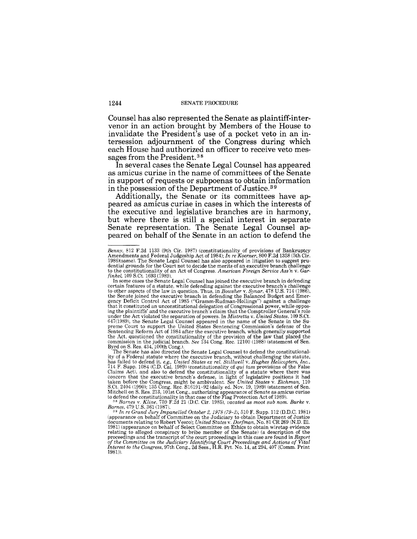Counsel has also represented the Senate as plaintiff-intervenor in an action brought by Members of the House to invalidate the President's use of a pocket veto in an intersession adjournment of the Congress during which each House had authorized an officer to receive veto messages from the President. <sup>38</sup>

In several cases the Senate Legal Counsel has appeared as amicus curiae in the name of committees of the Senate in support of requests or subpoenas to obtain information in the possession of the Department of Justice. 3 9

Additionally, the Senate or its committees have appeared as amicus curiae in cases in which the interests of the executive and legislative branches are in harmony, but where there is still a special interest in separate Senate representation. The Senate Legal Counsel appeared on behalf of the Senate in an action to defend the

*Benny,* 812 F.2d 1133 (9th Cir. 1987) (constitutionality of provisions of Bankruptcy Amendments and Federal Judgeship Act of 1984); *In re Koerner,* 800 F.2d 1358 (5th Cir. 1986)(same). The Senate Legal Counsel has also appeared in litigation to suggest prudential grounds for the Court not to decide the merits of an executive branch challenge to the constitutionality of an Act of Congress. *American Foreign Service Ass'n* v. *Gar· finkel,* 109 S.Ct. 1693 (1989).

In some cases the Senate Legal Counsel has joined the executive branch in defending certain features of a statute, while defending against the executive branch's challenge to other aspects of the law in question. Thus, in *Bowsher* v. *Synar,* 478 U.S. 714 (1986), the Senate joined the executive branch in defending the Balanced Budget and Emer-gency Deficit Control Act of 1985 ("Gramm-Rudman-Hollings") against a challenge that it constituted an unconstitutional delegation of Congressional power, while oppos-ing the plaintiffs' and the executive branch's claim that the Comptroller General's role under the Act violated the separation of powers. In *Mistretta* v. *United States,* 109 S.Ct. 647(1989), the Senate Legal Counsel appeared in the name of the Senate in the Supreme Court to support the United States Sentencing Commission's defense of the Sentencing Reform Act of 1984 after the executive branch, whi Byrd on S. Res. 434, 100th Cong.).

The Senate has also directed the Senate Legal Counsel to defend the constitutionality of a Federal statute where the executive branch, without challenging the statute, has failed to defend it, *e.g., United States ex rel. Stillwell* v. *Hughes Helicopters, Inc.*, 714 F. Supp. 1084 (C.D. Cal. 1989) (cons Claims Act), and also to defend the constitutionality of a statute where there was concern that the executive branch's defense, in light of legislative positions it had taken before the Congress, might be ambivalent. *See* 

*Barnes,* 479 U.S. 361 (1987). *39 In re Grand Jury Impanelled October* 2,1978 (79-2),510 F. Supp. 112 (D.D.C. 1981) (appearance on behalf of Committee on the Judiciary to obtain Department of Justice documents relating to Robert Vesco); *United States* V. *Dorfman,* No. 81 CR 269 (N.D. Ill. 1981) (appearance on behalf of Select Committee on Ethics to obtain wiretap evidence relating to alleged conspiracy to bribe member of the Senate) (a description of the proceedings and the transcript of the court proceedings in this case are found in *Report* of the Committee on the Judiciary Identifying C 1981»).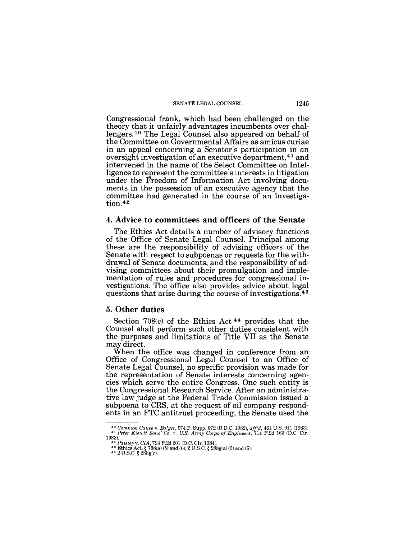SENATE LEGAL COUNSEL 1245

Congressional frank, which had been challenged on the theory that it unfairly advantages incumbents over challengers.4o The Legal Counsel also appeared on behalf of the Committee on Governmental Affairs as amicus curiae in an appeal concerning a Senator's participation in an oversight investigation of an executive department,<sup>41</sup> and intervened in the name of the Select Committee on Intelligence to represent the committee's interests in litigation under the Freedom of Information Act involving documents in the possession of an executive agency that the committee had generated in the course of an investiga-<br>tion.<sup>42</sup>

### **4. Advice to committees and officers of the Senate**

The Ethics Act details a number of advisory functions of the Office of Senate Legal Counsel. Principal among these are the responsibility of advising officers of the Senate with respect to subpoenas or requests for the withdrawal of Senate documents, and the responsibility of advising committees about their promulgation and implementation of rules and procedures for congressional investigations. The office also provides advice about legal questions that arise during the course of investigations.<sup>43</sup>

## 5. **Other duties**

Section 708(c) of the Ethics Act 44 provides that the Counsel shall perform such other duties consistent with the purposes and limitations of Title VII as the Senate may direct.

When the office was changed in conference from an Office of Congressional Legal Counsel to an Office of Senate Legal Counsel, no specific provision was made for the representation of Senate interests concerning agencies which serve the entire Congress. One such entity is the Congressional Research Service. After an administrative law judge at the Federal Trade Commission issued a subpoena to CRS, at the request of oil company respondents in an FTC antitrust proceeding, the Senate used the

*<sup>40</sup> Common Cause* v. *Bolger,* 574 F. Supp. 672 (D.D.C. 1982), *aff'd,* 461 U.s. 911 (1983). 41 *Peter Kiewit Sons' Co.* v. *U.S. Army Corps of Engineers,* 714 F.2d 163 (D.C. Cir.

<sup>1983).&</sup>lt;br>
<sup>42</sup> *Paisleyv. CIA*, 724 F.2d 201 (D.C. Cir. 1984).<br>
<sup>43</sup> Ethics Act, § 708(a) (5) and (6); 2 U.S.C. § 288g(a) (5) and (6).<br>
<sup>44</sup> 2 U.S.C. § 288g(c).